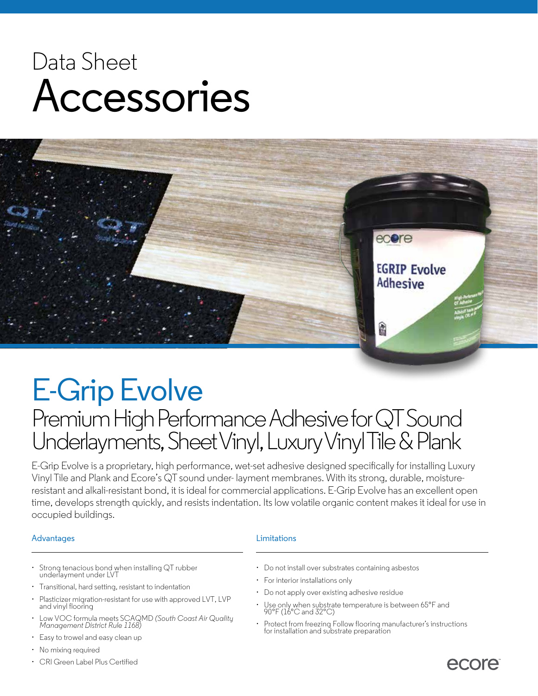# Data Sheet Accessories



# E-Grip Evolve

### Premium High Performance Adhesive forQT Sound Underlayments, Sheet Vinyl, Luxury Vinyl Tile & Plank

E-Grip Evolve is a proprietary, high performance, wet-set adhesive designed specifically for installing Luxury Vinyl Tile and Plank and Ecore's QT sound under- layment membranes. With its strong, durable, moistureresistant and alkali-resistant bond, it is ideal for commercial applications. E-Grip Evolve has an excellent open time, develops strength quickly, and resists indentation. Its low volatile organic content makes it ideal for use in occupied buildings.

### Advantages **Limitations**

- Strong tenacious bond when installing QT rubber underlayment under LVT
- Transitional, hard setting, resistant to indentation
- Plasticizer migration-resistant for use with approved LVT, LVP and vinyl flooring
- Low VOC formula meets SCAQMD *(South Coast Air Quality Management District Rule 1168)*
- Easy to trowel and easy clean up
- No mixing required
- CRI Green Label Plus Certified
- Do not install over substrates containing asbestos
- For interior installations only
- Do not apply over existing adhesive residue
- Use only when substrate temperature is between 65°F and 90°F (16°C and 32°C)
- Protect from freezing Follow flooring manufacturer's instructions for installation and substrate preparation

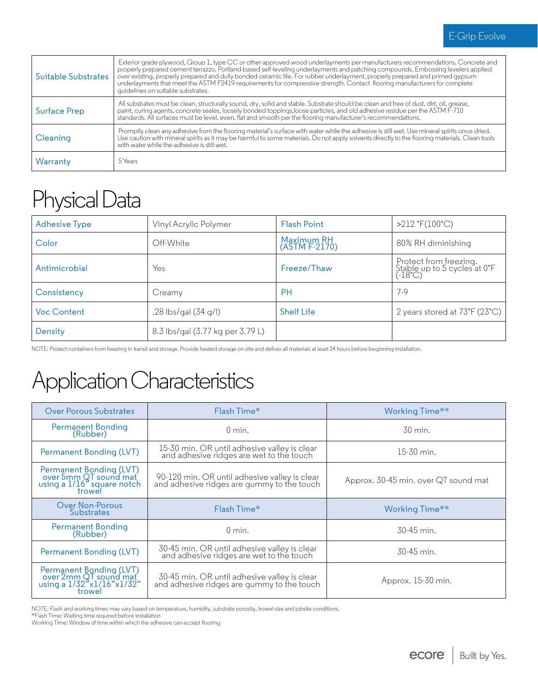| Suitable Substrates | Exterior grade plywood, Group 1, type CC or other approved wood underlayments per manufacturers recommendations. Concrete and<br>properly prepared cement terrazzo. Portland-based self-leveling underlayments and patching compounds. Embossing levelers applied<br>over existing, properly prepared and dully bonded ceramic tile. For rubber underlayment, properly prepared and primed gypsum<br>underlayments that meet the ASTM F2419 requirements for compressive strength. Contact flooring manufacturers for complete<br>quidelines on suitable substrates. |  |
|---------------------|----------------------------------------------------------------------------------------------------------------------------------------------------------------------------------------------------------------------------------------------------------------------------------------------------------------------------------------------------------------------------------------------------------------------------------------------------------------------------------------------------------------------------------------------------------------------|--|
| Surface Prep        | All substrates must be clean, structurally sound, dry, solid and stable. Substrate should be clean and free of dust, dirt, oil, grease,<br>paint, curing agents, concrete seales, loosely bonded toppings, loose particles, and old adhesive residue per the ASTM F-710<br>standards. All surfaces must be level, even, flat and smooth per the flooring manufacturer's recommendations.                                                                                                                                                                             |  |
| Cleaning            | Promptly clean any adhesive from the flooring material's surface with water while the adhesive is still wet. Use mineral spirits once dried.<br>Use caution with mineral spirits as it may be harmful to some materials. Do not apply solvents directly to the flooring materials. Clean tools<br>with water while the adhesive is still wet.                                                                                                                                                                                                                        |  |
| Warranty            | 5 Years                                                                                                                                                                                                                                                                                                                                                                                                                                                                                                                                                              |  |

### Physical Data

| <b>Adhesive Type</b> | Vinyl Acrylic Polymer            | <b>Flash Point</b>          | $>212$ °F(100°C)                                                               |
|----------------------|----------------------------------|-----------------------------|--------------------------------------------------------------------------------|
| Color                | Off-White                        | Maximum RH<br>(ASTM F-2170) | 80% RH diminishing                                                             |
| Antimicrobial        | Yes                              | Freeze/Thaw                 | <sup>!</sup> Protect from freezing.<br>Stable up to 5 cycles at 0°F<br>(-18°C) |
| Consistency          | Creamy                           | <b>PH</b>                   | $7-9$                                                                          |
| <b>Voc Content</b>   | .28 lbs/gal (34 g/l)             | <b>Shelf Life</b>           | 2 years stored at $73^{\circ}F(23^{\circ}C)$                                   |
| Density              | 8.3 lbs/gal (3.77 kg per 3.79 L) |                             |                                                                                |

NOTE: Protect containers from freezing in transit and storage. Provide heated storage on site and deliver all materials at least 24 hours before beginning installation.

### Application Characteristics

| Over Porous Substrates                                                                   | Flash Time*                                                                                 | Working Time**                       |
|------------------------------------------------------------------------------------------|---------------------------------------------------------------------------------------------|--------------------------------------|
| Permanent Bonding<br>(Rubber)                                                            | $0 \text{ min.}$                                                                            | $30 \text{ min}$ .                   |
| Permanent Bonding (LVT)                                                                  | 15-30 min. OR until adhesive valley is clear<br>and adhesive ridges are wet to the touch    | $15-30$ min.                         |
| Permanent Bonding (LVT)<br>over 5mm QT sound mat<br>using a 1/16" square notch<br>trowel | 90-120 min. OR until adhesive valley is clear<br>and adhesive ridges are gummy to the touch | Approx. 30-45 min. over QT sound mat |
| <b>Over Non-Porous</b><br><b>Substrates</b>                                              | Flash Time*                                                                                 | Working Time**                       |
| Permanent Bonding<br>(Rubber)                                                            | $0 \text{ min.}$                                                                            | $30-45$ min.                         |
| Permanent Bonding (LVT)                                                                  | 30-45 min. OR until adhesive valley is clear<br>and adhesive ridges are wet to the touch    | $30-45$ min.                         |
| Permanent Bonding (LVT)<br>over 2mm QT sound mat<br>using a 1/32"x1/16"x1/32"<br>trowel  | 30-45 min. OR until adhesive valley is clear<br>and adhesive ridges are gummy to the touch  | Approx. 15-30 min.                   |

NOTE: Flash and working times may vary based on temperature, humidity, substrate porosity, trowel size and jobsite conditions.

\*Flash Time: Waiting time required before installation

Working Time: Window of time within which the adhesive can accept flooring